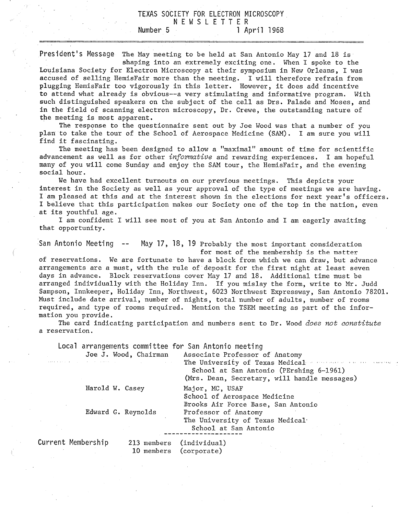## TEXAS SOCIETY FOR ELECTRON MICROSCOPY NEWSLETTER Number 5 1 April 1968

President's Message The May meeting to be held at San Antonio May 17 and 18 is

shaping into an extremely exciting one. When I spoke to the Louisiana Society for Electron Microscopy at their symposium in New Orleans, I was accused of selling HemisFair more than the meeting. I will therefore refrain from plugging HemisFair too vigorously in this letter. However, it does add incentive to attend what already is obvious--a very stimulating and informative program. With such distinguished speakers on the subject of the cell as Drs. Palade and Moses, and in the field of scanning electron microscopy, Dr. Crewe, the outstanding nature of the meeting is most apparent.

The response to the questionnaire sent out by Joe Wood was that a number of you plan to take the tour of the School of Aerospace Medicine (SAM). I am sure you will find it fascinating.

The meeting has been designed to allow a "maximal" amount of time for scientific advancement as well as for other informative and rewarding experiences. I am hopeful many of you will come Sunday and enjoy the SAM tour, the HemisFair, and the evening social hour.

We have had excellent turnouts on our previous meetings. This depicts your interest in the Society as well as your approval of the type of meetings we are having. I am pleased at this and at the interest shown in the elections for next year's officers. I believe that this participation makes our Society one of the top in the nation, even at its youthful age.

I am confident I will see most of you at San Antonio and I am eagerly awaiting that opportunity.

San Antonio Meeting --May 17, 18, 19 Probably the most important consideration for most of the membership is the matter

of reservations. We are fortunate to have a block from which we can draw, but advance arrangements are a must, with the rule of deposit for the first night at least seven days in advance. Block reservations cover May 17 and 18. Additional time must be arranged individually with the Holiday Inn. If you mislay the form, write to Mr. Judd Sampson, Innkeeper, Holiday Inn, Northwest, 6023 Northwest Expressway, San Antonio 78201. Must include date arrival, number of nights, total number of adults, number of rooms required, and type of rooms required. Mention the TSEM meeting as part of the information you provide.

The card indicating participation and numbers sent to Dr. Wood does not constitute a reservation.

Local arrangements committee for San Antonio meeting

| and the control of the state of the control of the control of the control of | Joe J. Wood, Chairman<br><b>Carl Carl</b> | Associate Professor of Anatomy<br>The University of Texas Medical and the season<br>School at San Antonio (PErshing 6-1961)<br>(Mrs. Dean, Secretary, will handle messages) |
|------------------------------------------------------------------------------|-------------------------------------------|-----------------------------------------------------------------------------------------------------------------------------------------------------------------------------|
| Harold W. Casey                                                              |                                           | Major, MC, USAF<br>School of Aerospace Medicine                                                                                                                             |
| Edward G. Reynolds                                                           |                                           | Brooks Air Force Base, San Antonio<br>Professor of Anatomy<br>The University of Texas Medical<br>School at San Antonio                                                      |
| Membership                                                                   | 213 members                               | (individual)                                                                                                                                                                |

Current

10 members (corporate)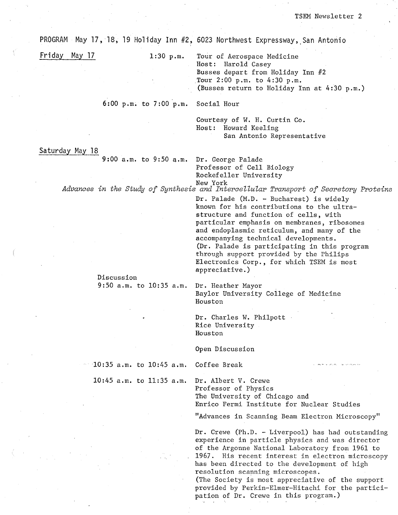PROGRAM May 17, 18, 19 Holiday Inn #2, 6023 Northwest Expressway, San Antonio

Friday May 17

 $1:30$  p.m.

Tour of Aerospace Medicine Host: Harold Casey Busses depart from Holiday Inn #2 Tour 2:00 p.m. to 4:30 p.m. (Busses return to Holiday Inn at 4:30 p.m.)

6:00 p.m. to  $7:00$  p.m. Social Hour

> Courtesy of W. H. Curtin Co. Host: Howard Keeling San Antonio Representative

Saturday May 18

 $9:00$  a.m. to  $9:50$  a.m.

Dr. George Palade Professor of Cell Biology Rockefeller University

New York Advances in the Study of Synthesis and Intercellular Transport of Secretory Proteins

> Dr. Palade (M.D. - Bucharest) is widely known for his contributions to the ultrastructure and function of cells, with particular emphasis on membranes, ribosomes and endoplasmic reticulum, and many of the accompanying technical developments. (Dr. Palade is participating in this program through support provided by the Philips Electronics Corp., for which TSEM is most appreciative.)

Discussion 9:50  $a.m.$  to 10:35  $a.m.$ 

Dr. Heather Mayor Baylor University College of Medicine Houston

Dr. Charles W. Philpott Rice University Houston

Open Discussion

10:35  $a.m.$  to 10:45  $a.m.$ Coffee Break

 $10:45$  a.m. to  $11:35$  a.m.

Dr. Albert V. Crewe Professor of Physics The University of Chicago and Enrico Fermi Institute for Nuclear Studies

"Advances in Scanning Beam Electron Microscopy"

Dr. Crewe (Ph.D. - Liverpool) has had outstanding experience in particle physics and was director of the Argonne National Laboratory from 1961 to 1967. His recent interest in electron microscopy has been directed to the development of high resolution scanning microscopes.

(The Society is most appreciative of the support provided by Perkin-Elmer-Hitachi for the participation of Dr. Crewe in this program.)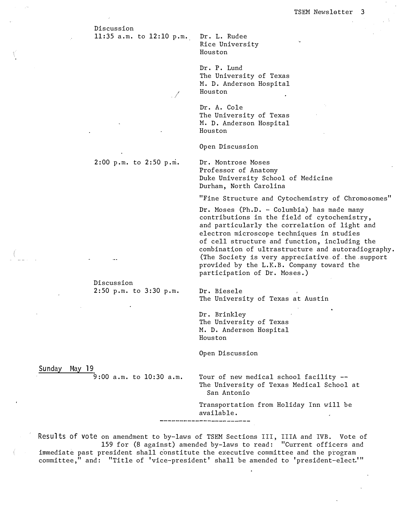Discussion

11:35 a.m. to 12:10 p.m. Dr. L. Rudee Rice University Houston

> Dr. P. Lund The University of Texas M. D. Anderson Hospital / Houston

> Dr. A. Cole The University of Texas M. D. Anderson Hospital Houston

Open Discussion

2:00 p.m. to 2:50 p.m.

. /

Dr. Montrose Moses Professor of Anatomy Duke University School of Medicine Durham, North Carolina

"Fine Structure and Cytochemistry of Chromosomes"

**Dr.** Moses (Ph.D. - Columbia) has made many contributions in the field of cytochemistry, and particularly the correlation of light and electron microscope techniques in studies of cell structure and function, including the combination of ultrastructure and autoradiography. (The Society is very appreciative of the support provided by the L.K.B. Company toward the participation of Dr. Moses.)

**Dr.** Biesele The University of Texas at Austin

Dr. Brinkley The University of Texas M. D. Anderson Hospital Houston

Open Discussion

Sunday May 19

9:00 a.m. to 10:30 a.m.

2:50 p.m. to 3:30 p.m.

Discussion

Tour of new medical school facility - The University of Texas Medical School at San Antonio

Transportation from Holiday Inn will be available.

Results of vote on amendment to by-laws of TSEM Sections III, IIIA and IVB. Vote of 159 for (8 against) amended by-laws to read: "Current officers and immediate past president shall constitute the executive committee and the program committee," and: "Title of 'vice-president' shall be amended to 'president-elect'"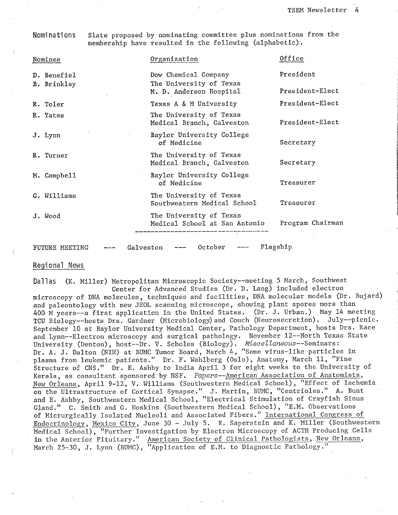## Nominations

Slate proposed by nominating committee plus nominations from the membership have resulted in the following (alphabetic).

| Nominee                                                       |  | Organization                                             | Office           |  |
|---------------------------------------------------------------|--|----------------------------------------------------------|------------------|--|
| D. Benefiel<br>B. Brinkley                                    |  | Dow Chemical Company<br>The University of Texas          | President        |  |
|                                                               |  | M. D. Anderson Hospital                                  | President-Elect  |  |
| R. Toler                                                      |  | Texas A & M University                                   | President-Elect  |  |
| R. Yates                                                      |  | The University of Texas<br>Medical Branch, Galveston     | President-Elect  |  |
| J. Lynn                                                       |  | Baylor University College<br>of Medicine                 | Secretary        |  |
| R. Turner                                                     |  | The University of Texas<br>Medical Branch, Galveston     | Secretary        |  |
| M. Campbell                                                   |  | Baylor University College<br>of Medicine                 | Treasurer        |  |
| G. Williams                                                   |  | The University of Texas<br>Southwestern Medical School   | Treasurer        |  |
| J. Wood                                                       |  | The University of Texas<br>Medical School at San Antonio | Program Chairman |  |
|                                                               |  |                                                          |                  |  |
| Flagship<br>October<br>Galveston<br>FUTURE MEETING<br>$- - -$ |  |                                                          |                  |  |

## Regional News

(K. Miller) Metropolitan Microscopic Society--meeting 5 March, Southwest Dallas Center for Advanced Studies (Dr. D. Lang) included electron

microscopy of DNA molecules, techniques and facilities, DNA molecular models (Dr. Bujard) and paleontology with new JEOL scanning microscope, showing plant spores more than 400 M years--a first application in the United States. (Dr. J. Urban.) May 14 meeting<br>TCU Biology--hosts Drs. Gardner (Microbiology) and Couch (Neurosecretion). July--picnic. September 10 at Baylor University Medical Center, Pathology Department, hosts Drs. Race and Lynn--Electron microscopy and surgical pathology. November 12--North Texas State University (Denton), host--Dr. V. Scholes (Biology). Miscellaneous--Seminars:<br>Dr. A. J. Dalton (NIH) at BUMC Tumor Board, March 4, "Some virus-like particles in plasma from leukemic patients." Dr. F. Wahlberg (Oslo), Anatomy, March 11, "Fine Structure of CNS." Dr. E. Ashby to India April 3 for eight weeks to the University of Kerala, as consultant sponsored by NSF. Papers--American Association of Anatomists, New Orleans, April 9-12, V. Williams (Southwestern Medical School), "Effect of Ischemia on the Ultrastructure of Cortical Synapse." J. Martin, BUMC, "Centrioles." A. Bunt<br>and E. Ashby, Southwestern Medical School, "Electrical Stimulation of Crayfish Sinus Gland." C. Smith and G. Hoskins (Southwestern Medical School), "E.M. Observations of Micrurgically Isolated Nucleoli and Associated Fibers." International Congress of Endocrinology, Mexico City, June 30 - July 5. E. Saperstein and K. Miller (Southwestern Medical School), "Further Investigation by Electron Microscopy of ACTH Producing Cells in the Anterior Pituitary." American Society of Clinical Pathologists, New Orleans, March 25-30, J. Lynn (BUMC), "Application of E.M. to Diagnostic Pathology."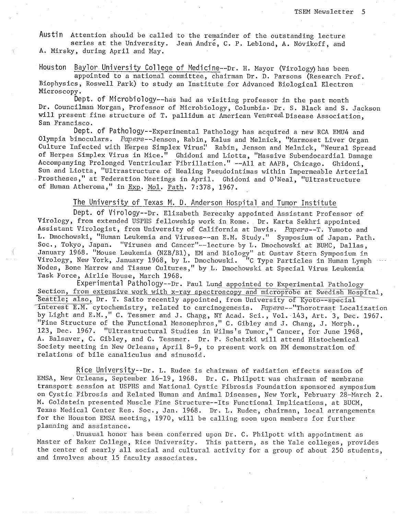Austin Attention should be called to the remainder of the outstanding lecture series at the University. Jean André, C. P. Leblond, A. Novikoff, and A. Mirsky, during April and May.

Houston Baylor University College of Medicine--Dr. H. Mayor (Virology) has been appointed to a national committee, chairman Dr. D. Parsons (Research Prof. Biophysics, Roswell Park) to study an Institute for Advanced Biological Electron Microscopy.

Dept. of Microbiology--has had as visiting professor in the past month Dr. Councilman Morgan, Professor of Microbiology, Columbia. Dr. S. Black and S. Jackson will present fine structure of T. pallidum at American Venereal Disease Association. San Francisco.

Dept. of Pathology--Experimental Pathology has acquired a new RCA EMU4 and Olympia binoculars. Papers--Jenson, Rabin, Kalus and Melnick, "Marmoset Liver Organ Culture Infected with Herpes Simplex Virus." Rabin, Jenson and Melnick, "Neural Spread of Herpes Simplex Virus in Mice." Ghidoni and Liotta, "Massive Subendocardial Damage Accompanying Prolonged Ventricular Fibrillation." --All at AAPB, Chicago. Ghidoni, Sun and Liotta, "Ultrastructure of Healing Pseudointimas within Impermeable Arterial Prostheses," at Federation Meetings in April. Ghidoni and O'Neal, "Ultrastructure of Human Atheroma," in Exp. Mol. Path. 7:378, 1967.

The University of Texas M. D. Anderson Hospital and Tumor Institute

Dept. of Virology--Dr. Elizabeth Bereczky appointed Assistant Professor of Virology, from extended USPHS fellowship work in Rome. Dr. Karta Sekhri appointed Assistant Virologist, from University of California at Davis. Papers--T. Yumoto and L. Dmochowski, "Human Leukemia and Viruses--an E.M. Study." Symposium of Japan. Path. Soc., Tokyo, Japan. "Viruses and Cancer"--lecture by L. Dmochowski at BUMC, Dallas, January 1968. "Mouse Leukemia (NZB/B1), EM and Biology" at Gustav Stern Symposium in<br>Virology, New York, January 1968, by L. Dmochowski. "C Type Particles in Human Lymph Nodes, Bone Marrow and Tissue Cultures," by L. Dmochowski at Special Virus Leukemia Task Force, Airlie House, March 1968.

Experimental Pathology--Dr. Paul Lund appointed to Experimental Pathology Section, from extensive work with x-ray spectroscopy and microprobe at Swedish Hospital, Seattle; also, Dr. T. Saito recently appointed, from University of Kyoto--special interest E.M. cytochemistry, related to carcinogenesis. Papers--"Thorotrast Localization by Light and E.M.," C. Tessmer and J. Chang, NY Acad. Sci., Vol. 143, Art. 3, Dec. 1967.<br>"Fine Structure of the Functional Mesonephros," C. Gibley and J. Chang, J. Morph., 123, Dec. 1967. "Ultrastructural Studies in Wilms's Tumor," Cancer, for June 1968, A. Balsaver, C. Gibley, and C. Tessmer. Dr. P. Schatzki will attend Histochemical Society meeting in New Orleans, April 8-9, to present work on EM demonstration of relations of bile canaliculus and sinusoid.

Rice University--Dr. L. Rudee is chairman of radiation effects session of EMSA, New Orleans, September 16-19, 1968. Dr. C. Philpott was chairman of membrane transport session at USPHS and National Cystic Fibrosis Foundation sponsored symposium on Cystic Fibrosis and Related Human and Animal Diseases, New York, February 28-March 2. M. Goldstein presented Muscle Fine Structure--Its Functional Implications, at BUCM, Texas Medical Center Res. Soc., Jan. 1968. Dr. L. Rudee, chairman, local arrangements for the Houston EMSA meeting, 1970, will be calling soon upon members for further planning and assistance.

Unusual honor has been conferred upon  $Dr. C.$  Philpott with appointment as Master of Baker College, Rice University. This pattern, as the Yale colleges, provides the center of nearly all social and cultural activity for a group of about 250 students, and involves about 15 faculty associates.